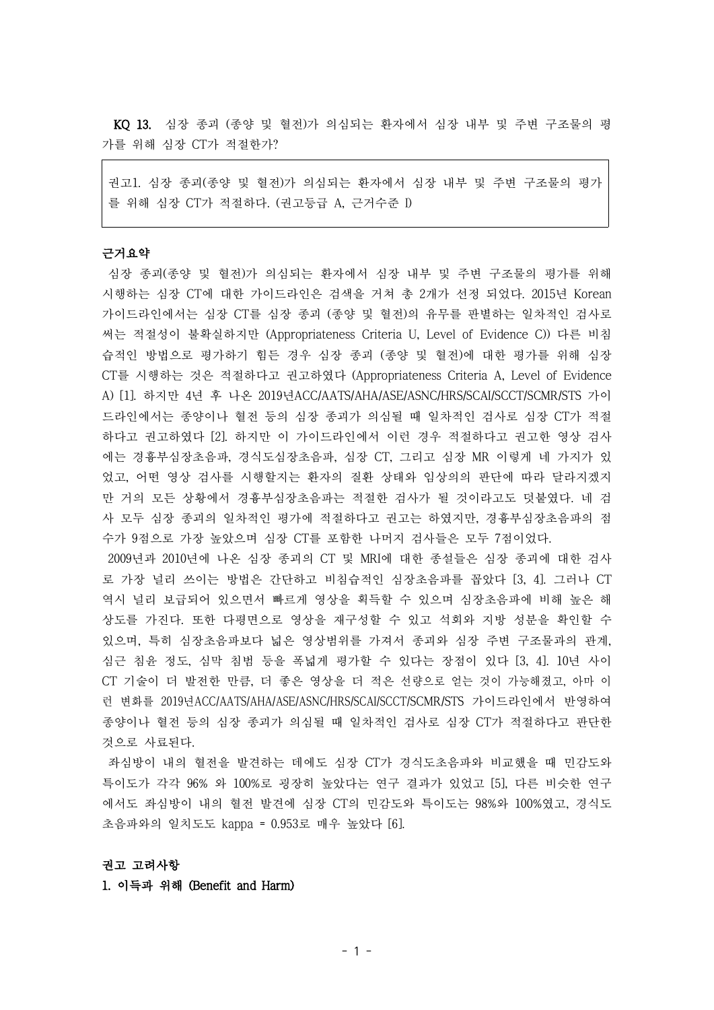KQ 13. 심장 종괴 (종양 및 혈전)가 의심되는 환자에서 심장 내부 및 주변 구조물의 평 가를 위해 심장 CT가 적절한가?

권고1. 심장 종괴(종양 및 혈전)가 의심되는 환자에서 심장 내부 및 주변 구조물의 평가 를 위해 심장 CT가 적절하다. (권고등급 A, 근거수준 I)

# 근거요약

심장 종괴(종양 및 혈전)가 의심되는 환자에서 심장 내부 및 주변 구조물의 평가를 위해 시행하는 심장 CT에 대한 가이드라인은 검색을 거쳐 총 2개가 선정 되었다. 2015년 Korean 가이드라인에서는 심장 CT를 심장 종괴 (종양 및 혈전)의 유무를 판별하는 일차적인 검사로 써는 적절성이 불확실하지만 (Appropriateness Criteria U, Level of Evidence C)) 다른 비침 습적인 방법으로 평가하기 힘든 경우 심장 종괴 (종양 및 혈전)에 대한 평가를 위해 심장 CT를 시행하는 것은 적절하다고 권고하였다 (Appropriateness Criteria A, Level of Evidence A) [1]. 하지만 4년 후 나온 2019년ACC/AATS/AHA/ASE/ASNC/HRS/SCAI/SCCT/SCMR/STS 가이 드라인에서는 종양이나 혈전 등의 심장 종괴가 의심될 때 일차적인 검사로 심장 CT가 적절 하다고 권고하였다 [2]. 하지만 이 가이드라인에서 이런 경우 적절하다고 권고한 영상 검사 에는 경흉부심장초음파, 경식도심장초음파, 심장 CT, 그리고 심장 MR 이렇게 네 가지가 있 었고, 어떤 영상 검사를 시행할지는 환자의 질환 상태와 임상의의 판단에 따라 달라지겠지 만 거의 모든 상황에서 경흉부심장초음파는 적절한 검사가 될 것이라고도 덧붙였다. 네 검 사 모두 심장 종괴의 일차적인 평가에 적절하다고 권고는 하였지만, 경흉부심장초음파의 점 수가 9점으로 가장 높았으며 심장 CT를 포함한 나머지 검사들은 모두 7점이었다.

2009년과 2010년에 나온 심장 종괴의 CT 및 MRI에 대한 종설들은 심장 종괴에 대한 검사 로 가장 널리 쓰이는 방법은 간단하고 비침습적인 심장초음파를 꼽았다 [3, 4]. 그러나 CT 역시 널리 보급되어 있으면서 빠르게 영상을 획득할 수 있으며 심장초음파에 비해 높은 해 상도를 가진다. 또한 다평면으로 영상을 재구성할 수 있고 석회와 지방 성분을 확인할 수 있으며, 특히 심장초음파보다 넓은 영상범위를 가져서 종괴와 심장 주변 구조물과의 관계, 심근 침윤 정도, 심막 침범 등을 폭넓게 평가할 수 있다는 장점이 있다 [3, 4]. 10년 사이 CT 기술이 더 발전한 만큼, 더 좋은 영상을 더 적은 선량으로 얻는 것이 가능해졌고, 아마 이 런 변화를 2019년ACC/AATS/AHA/ASE/ASNC/HRS/SCAI/SCCT/SCMR/STS 가이드라인에서 반영하여 종양이나 혈전 등의 심장 종괴가 의심될 때 일차적인 검사로 심장 CT가 적절하다고 판단한 것으로 사료된다.

좌심방이 내의 혈전을 발견하는 데에도 심장 CT가 경식도초음파와 비교했을 때 민감도와 특이도가 각각 96% 와 100%로 굉장히 높았다는 연구 결과가 있었고 [5], 다른 비슷한 연구 에서도 좌심방이 내의 혈전 발견에 심장 CT의 민감도와 특이도는 98%와 100%였고, 경식도 초음파와의 일치도도 kappa = 0.953로 매우 높았다 [6].

### 권고 고려사항

### 1. 이득과 위해 (Benefit and Harm)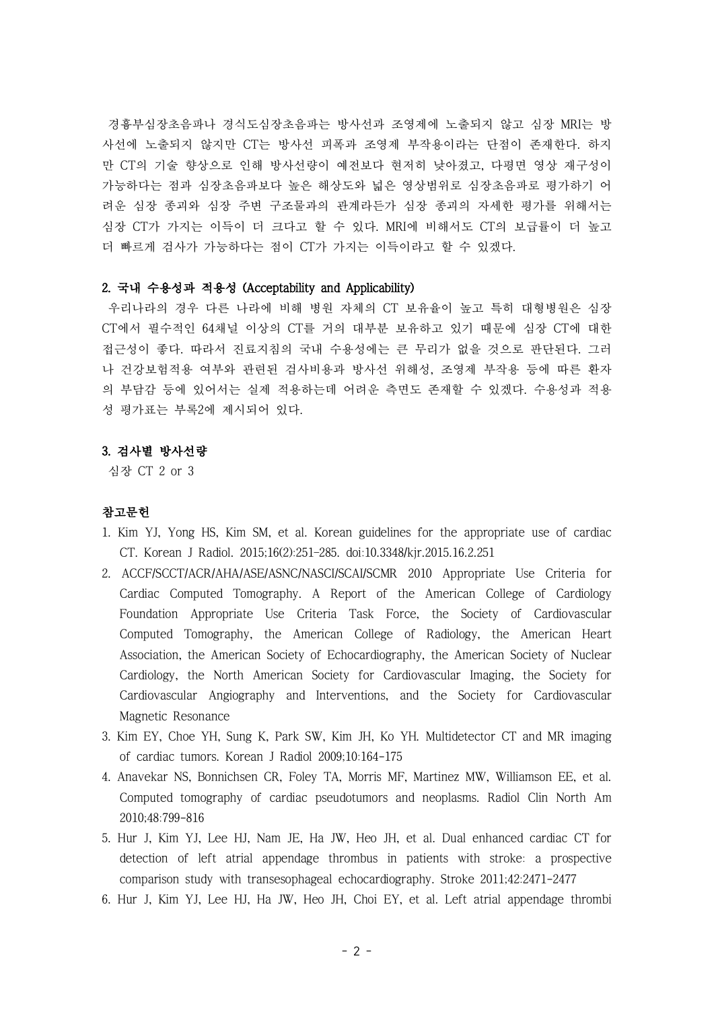경흉부심장초음파나 경식도심장초음파는 방사선과 조영제에 노출되지 않고 심장 MRI는 방 사선에 노출되지 않지만 CT는 방사선 피폭과 조영제 부작용이라는 단점이 존재한다. 하지 만 CT의 기술 향상으로 인해 방사선량이 예전보다 현저히 낮아졌고, 다평면 영상 재구성이 가능하다는 점과 심장초음파보다 높은 해상도와 넓은 영상범위로 심장초음파로 평가하기 어 려운 심장 종괴와 심장 주변 구조물과의 관계라든가 심장 종괴의 자세한 평가를 위해서는 심장 CT가 가지는 이득이 더 크다고 할 수 있다. MRI에 비해서도 CT의 보급률이 더 높고 더 빠르게 검사가 가능하다는 점이 CT가 가지는 이득이라고 할 수 있겠다.

### 2. 국내 수용성과 적용성 (Acceptability and Applicability)

우리나라의 경우 다른 나라에 비해 병원 자체의 CT 보유율이 높고 특히 대형병원은 심장 CT에서 필수적인 64채널 이상의 CT를 거의 대부분 보유하고 있기 때문에 심장 CT에 대한 접근성이 좋다. 따라서 진료지침의 국내 수용성에는 큰 무리가 없을 것으로 판단된다. 그러 나 건강보험적용 여부와 관련된 검사비용과 방사선 위해성, 조영제 부작용 등에 따른 환자 의 부담감 등에 있어서는 실제 적용하는데 어려운 측면도 존재할 수 있겠다. 수용성과 적용 성 평가표는 부록2에 제시되어 있다.

# 3. 검사별 방사선량

심장 CT 2 or 3

## 참고문헌

- 1. Kim YJ, Yong HS, Kim SM, et al. Korean guidelines for the appropriate use of cardiac CT. Korean J Radiol. 2015;16(2):251–285. doi:10.3348/kjr.2015.16.2.251
- 2. ACCF/SCCT/ACR/AHA/ASE/ASNC/NASCI/SCAI/SCMR 2010 Appropriate Use Criteria for Cardiac Computed Tomography. A Report of the American College of Cardiology Foundation Appropriate Use Criteria Task Force, the Society of Cardiovascular Computed Tomography, the American College of Radiology, the American Heart Association, the American Society of Echocardiography, the American Society of Nuclear Cardiology, the North American Society for Cardiovascular Imaging, the Society for Cardiovascular Angiography and Interventions, and the Society for Cardiovascular Magnetic Resonance
- 3. Kim EY, Choe YH, Sung K, Park SW, Kim JH, Ko YH. Multidetector CT and MR imaging of cardiac tumors. Korean J Radiol 2009;10:164-175
- 4. Anavekar NS, Bonnichsen CR, Foley TA, Morris MF, Martinez MW, Williamson EE, et al. Computed tomography of cardiac pseudotumors and neoplasms. Radiol Clin North Am 2010;48:799-816
- 5. Hur J, Kim YJ, Lee HJ, Nam JE, Ha JW, Heo JH, et al. Dual enhanced cardiac CT for detection of left atrial appendage thrombus in patients with stroke: a prospective comparison study with transesophageal echocardiography. Stroke 2011;42:2471-2477
- 6. Hur J, Kim YJ, Lee HJ, Ha JW, Heo JH, Choi EY, et al. Left atrial appendage thrombi